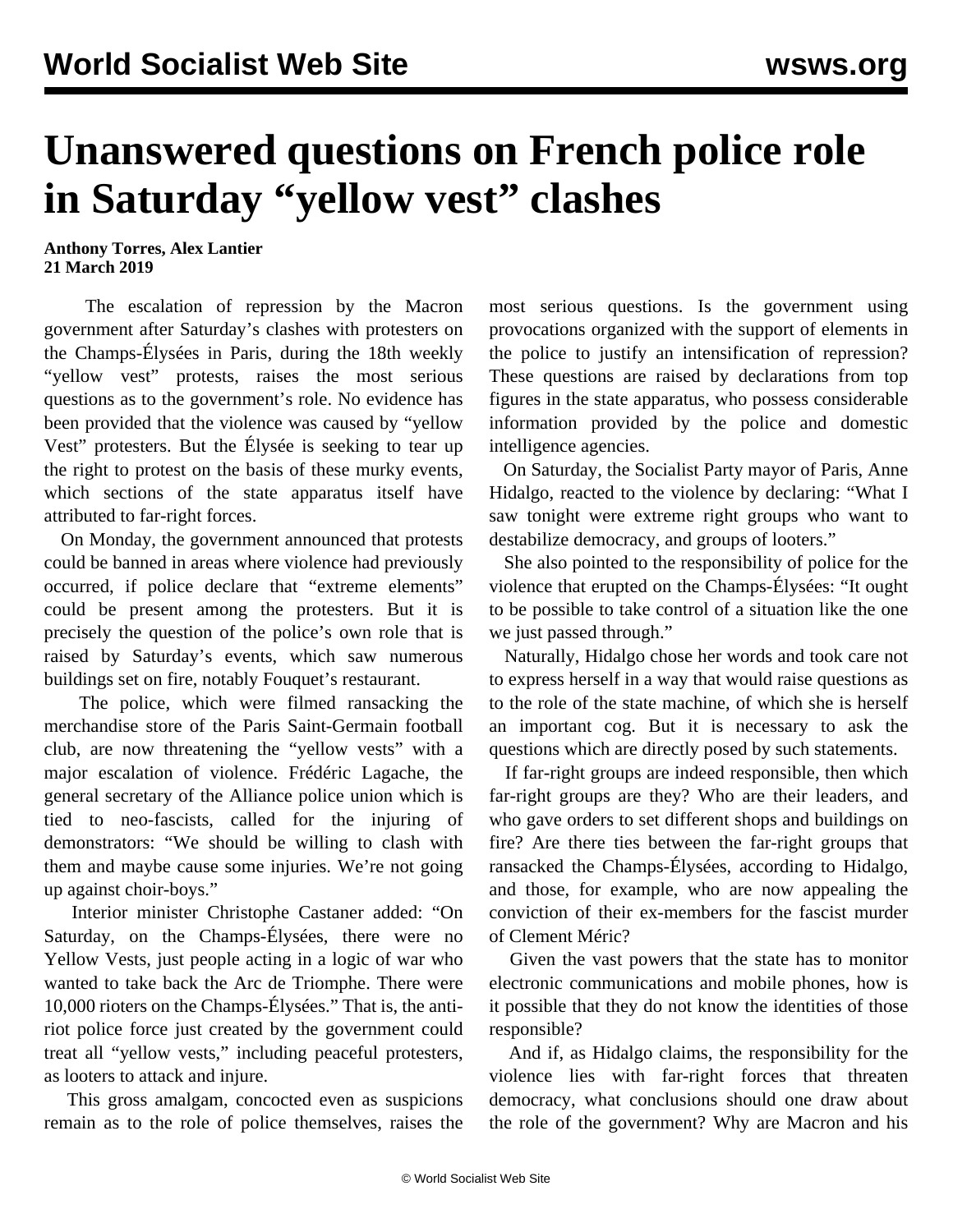## **Unanswered questions on French police role in Saturday "yellow vest" clashes**

**Anthony Torres, Alex Lantier 21 March 2019**

 The escalation of repression by the Macron government after Saturday's clashes with protesters on the Champs-Élysées in Paris, during the 18th weekly "yellow vest" protests, raises the most serious questions as to the government's role. No evidence has been provided that the violence was caused by "yellow Vest" protesters. But the Élysée is seeking to tear up the right to protest on the basis of these murky events, which sections of the state apparatus itself have attributed to far-right forces.

 On Monday, the government announced that protests could be banned in areas where violence had previously occurred, if police declare that "extreme elements" could be present among the protesters. But it is precisely the question of the police's own role that is raised by Saturday's events, which saw numerous buildings set on fire, notably Fouquet's restaurant.

 The police, which were filmed ransacking the merchandise store of the Paris Saint-Germain football club, are now threatening the "yellow vests" with a major escalation of violence. Frédéric Lagache, the general secretary of the Alliance police union which is tied to neo-fascists, called for the injuring of demonstrators: "We should be willing to clash with them and maybe cause some injuries. We're not going up against choir-boys."

 Interior minister Christophe Castaner added: "On Saturday, on the Champs-Élysées, there were no Yellow Vests, just people acting in a logic of war who wanted to take back the Arc de Triomphe. There were 10,000 rioters on the Champs-Élysées." That is, the antiriot police force just created by the government could treat all "yellow vests," including peaceful protesters, as looters to attack and injure.

 This gross amalgam, concocted even as suspicions remain as to the role of police themselves, raises the most serious questions. Is the government using provocations organized with the support of elements in the police to justify an intensification of repression? These questions are raised by declarations from top figures in the state apparatus, who possess considerable information provided by the police and domestic intelligence agencies.

 On Saturday, the Socialist Party mayor of Paris, Anne Hidalgo, reacted to the violence by declaring: "What I saw tonight were extreme right groups who want to destabilize democracy, and groups of looters."

 She also pointed to the responsibility of police for the violence that erupted on the Champs-Élysées: "It ought to be possible to take control of a situation like the one we just passed through."

 Naturally, Hidalgo chose her words and took care not to express herself in a way that would raise questions as to the role of the state machine, of which she is herself an important cog. But it is necessary to ask the questions which are directly posed by such statements.

 If far-right groups are indeed responsible, then which far-right groups are they? Who are their leaders, and who gave orders to set different shops and buildings on fire? Are there ties between the far-right groups that ransacked the Champs-Élysées, according to Hidalgo, and those, for example, who are now appealing the conviction of their ex-members for the fascist murder of Clement Méric?

 Given the vast powers that the state has to monitor electronic communications and mobile phones, how is it possible that they do not know the identities of those responsible?

 And if, as Hidalgo claims, the responsibility for the violence lies with far-right forces that threaten democracy, what conclusions should one draw about the role of the government? Why are Macron and his